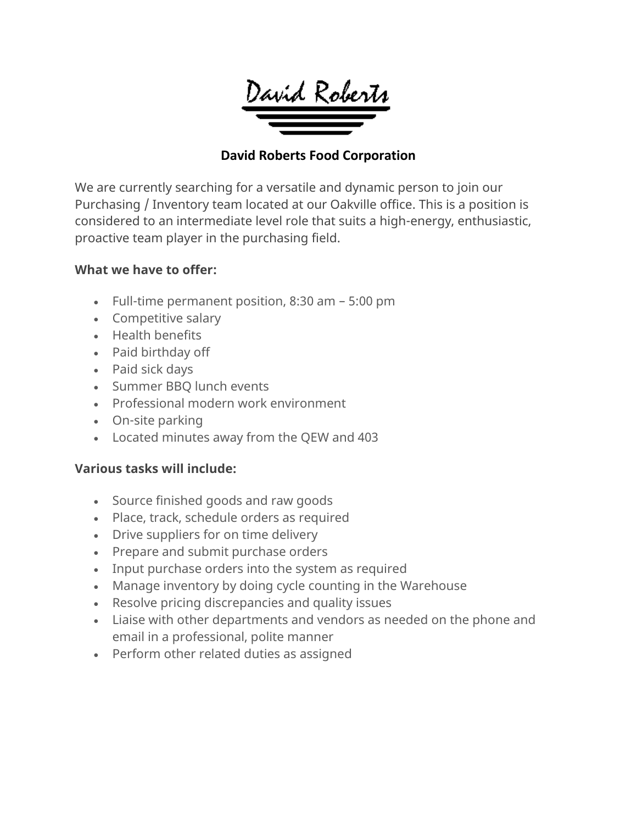

### **David Roberts Food Corporation**

We are currently searching for a versatile and dynamic person to join our Purchasing / Inventory team located at our Oakville office. This is a position is considered to an intermediate level role that suits a high-energy, enthusiastic, proactive team player in the purchasing field.

## **What we have to offer:**

- Full-time permanent position, 8:30 am 5:00 pm
- Competitive salary
- Health benefits
- Paid birthday off
- Paid sick days
- Summer BBQ lunch events
- Professional modern work environment
- On-site parking
- Located minutes away from the QEW and 403

#### **Various tasks will include:**

- Source finished goods and raw goods
- Place, track, schedule orders as required
- Drive suppliers for on time delivery
- Prepare and submit purchase orders
- Input purchase orders into the system as required
- Manage inventory by doing cycle counting in the Warehouse
- Resolve pricing discrepancies and quality issues
- Liaise with other departments and vendors as needed on the phone and email in a professional, polite manner
- Perform other related duties as assigned